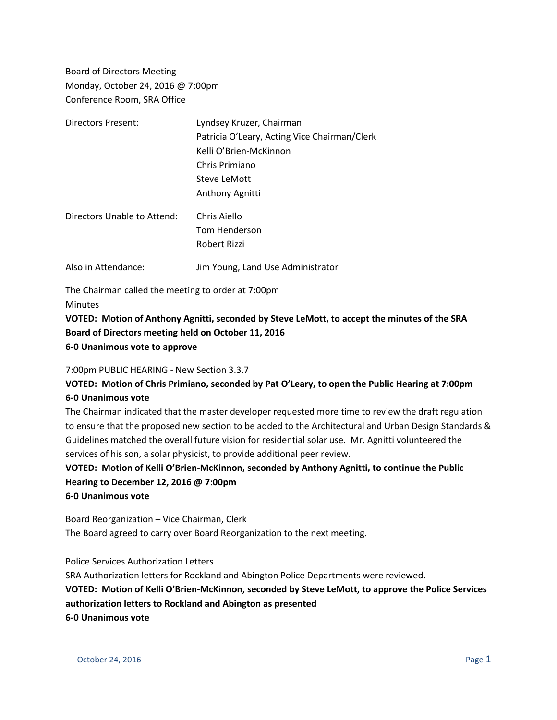Board of Directors Meeting Monday, October 24, 2016 @ 7:00pm Conference Room, SRA Office

| Directors Present:          | Lyndsey Kruzer, Chairman                     |
|-----------------------------|----------------------------------------------|
|                             | Patricia O'Leary, Acting Vice Chairman/Clerk |
|                             | Kelli O'Brien-McKinnon                       |
|                             | Chris Primiano                               |
|                             | Steve LeMott                                 |
|                             | Anthony Agnitti                              |
| Directors Unable to Attend: | Chris Aiello                                 |
|                             | Tom Henderson                                |
|                             | Robert Rizzi                                 |
| Also in Attendance:         | Jim Young, Land Use Administrator            |

The Chairman called the meeting to order at 7:00pm **Minutes** 

**VOTED: Motion of Anthony Agnitti, seconded by Steve LeMott, to accept the minutes of the SRA Board of Directors meeting held on October 11, 2016 6-0 Unanimous vote to approve**

#### 7:00pm PUBLIC HEARING - New Section 3.3.7

## **VOTED: Motion of Chris Primiano, seconded by Pat O'Leary, to open the Public Hearing at 7:00pm 6-0 Unanimous vote**

The Chairman indicated that the master developer requested more time to review the draft regulation to ensure that the proposed new section to be added to the Architectural and Urban Design Standards & Guidelines matched the overall future vision for residential solar use. Mr. Agnitti volunteered the services of his son, a solar physicist, to provide additional peer review.

**VOTED: Motion of Kelli O'Brien-McKinnon, seconded by Anthony Agnitti, to continue the Public Hearing to December 12, 2016 @ 7:00pm 6-0 Unanimous vote**

Board Reorganization – Vice Chairman, Clerk The Board agreed to carry over Board Reorganization to the next meeting.

Police Services Authorization Letters

SRA Authorization letters for Rockland and Abington Police Departments were reviewed. **VOTED: Motion of Kelli O'Brien-McKinnon, seconded by Steve LeMott, to approve the Police Services authorization letters to Rockland and Abington as presented 6-0 Unanimous vote**